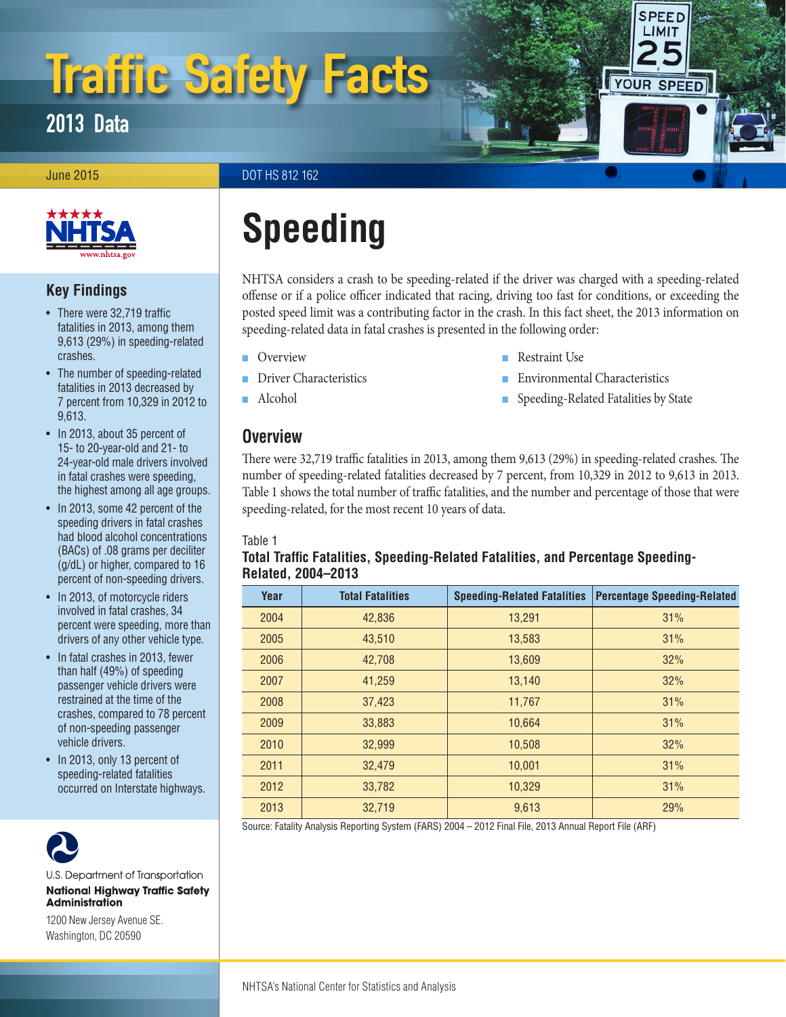# Traffic Safety Facts

2013 Data

**June 2015** DOT HS 812 162



# **Key Findings**

- There were 32,719 traffic fatalities in 2013, among them 9,613 (29%) in speeding-related crashes.
- The number of speeding-related fatalities in 2013 decreased by 7 percent from 10,329 in 2012 to 9,613.
- In 2013, about 35 percent of 15- to 20-year-old and 21- to 24-year-old male drivers involved in fatal crashes were speeding, the highest among all age groups.
- In 2013, some 42 percent of the speeding drivers in fatal crashes had blood alcohol concentrations (BACs) of .08 grams per deciliter (g/dL) or higher, compared to 16 percent of non-speeding drivers.
- In 2013, of motorcycle riders involved in fatal crashes, 34 percent were speeding, more than drivers of any other vehicle type.
- In fatal crashes in 2013, fewer than half (49%) of speeding passenger vehicle drivers were restrained at the time of the crashes, compared to 78 percent of non-speeding passenger vehicle drivers.
- In 2013, only 13 percent of speeding-related fatalities occurred on Interstate highways.



U.S. Department of Transportation **National Highway Traffic Safety Administration** 

1200 New Jersey Avenue SE. Washington, DC 20590

# **Speeding**

NHTSA considers a crash to be speeding-related if the driver was charged with a speeding-related offense or if a police officer indicated that racing, driving too fast for conditions, or exceeding the posted speed limit was a contributing factor in the crash. In this fact sheet, the 2013 information on speeding-related data in fatal crashes is presented in the following order:

- **[Overview](#page-0-0)**
- [Driver Characteristics](#page-1-0)
- [Alcohol](#page-1-1)

# <span id="page-0-0"></span>**Overview**

There were 32,719 traffic fatalities in 2013, among them 9,613 (29%) in speeding-related crashes. The number of speeding-related fatalities decreased by 7 percent, from 10,329 in 2012 to 9,613 in 2013. Table 1 shows the total number of traffic fatalities, and the number and percentage of those that were speeding-related, for the most recent 10 years of data.

#### Table 1

### **Total Traffic Fatalities, Speeding-Related Fatalities, and Percentage Speeding-Related, 2004–2013**

| Year | <b>Total Fatalities</b> | <b>Speeding-Related Fatalities</b> | <b>Percentage Speeding-Related</b> |
|------|-------------------------|------------------------------------|------------------------------------|
| 2004 | 42,836                  | 13,291                             | 31%                                |
| 2005 | 43,510                  | 13,583                             | 31%                                |
| 2006 | 42,708                  | 13,609                             | 32%                                |
| 2007 | 41,259                  | 13,140                             | 32%                                |
| 2008 | 37,423                  | 11,767                             | 31%                                |
| 2009 | 33,883                  | 10,664                             | 31%                                |
| 2010 | 32,999                  | 10,508                             | 32%                                |
| 2011 | 32,479                  | 10,001                             | 31%                                |
| 2012 | 33,782                  | 10,329                             | 31%                                |
| 2013 | 32,719                  | 9,613                              | 29%                                |

Source: Fatality Analysis Reporting System (FARS) 2004 – 2012 Final File, 2013 Annual Report File (ARF)

- - [Restraint Use](#page-3-0)
	- **[Environmental Characteristics](#page-3-1)**
	- [Speeding-Related Fatalities by State](#page-4-0)

**SPEED** LIMIT

YOUR SPEED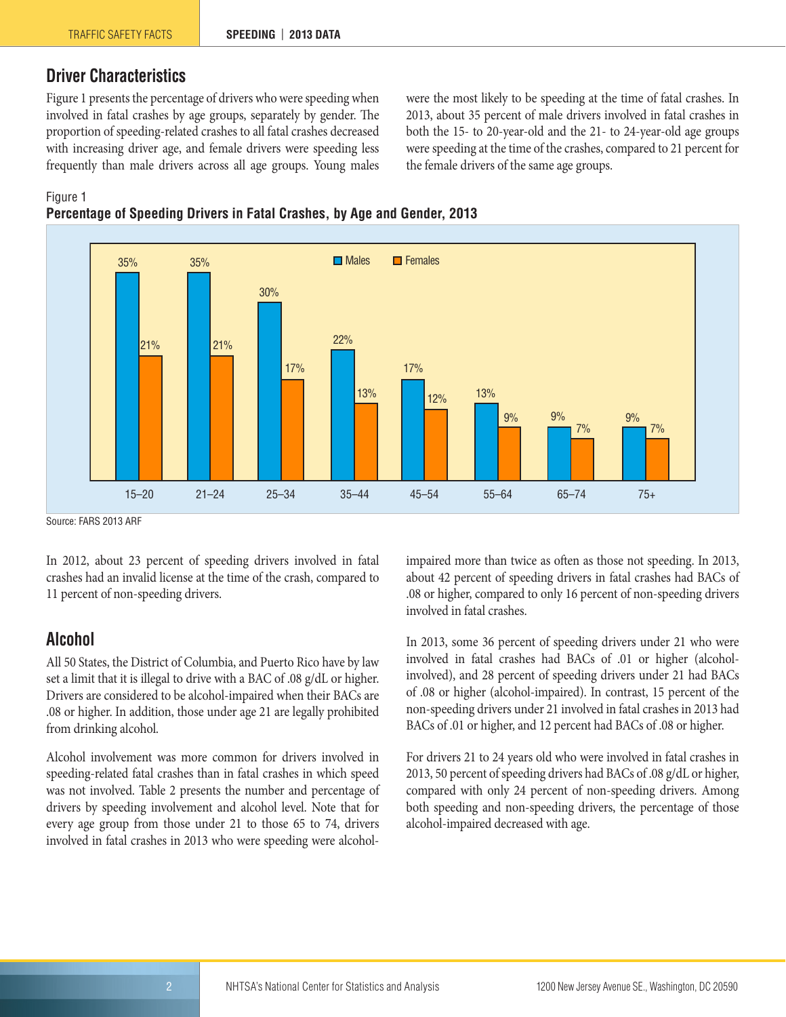# <span id="page-1-0"></span>**Driver Characteristics**

Figure 1 presents the percentage of drivers who were speeding when involved in fatal crashes by age groups, separately by gender. The proportion of speeding-related crashes to all fatal crashes decreased with increasing driver age, and female drivers were speeding less frequently than male drivers across all age groups. Young males were the most likely to be speeding at the time of fatal crashes. In 2013, about 35 percent of male drivers involved in fatal crashes in both the 15- to 20-year-old and the 21- to 24-year-old age groups were speeding at the time of the crashes, compared to 21 percent for the female drivers of the same age groups.

#### Figure 1





Source: FARS 2013 ARF

In 2012, about 23 percent of speeding drivers involved in fatal crashes had an invalid license at the time of the crash, compared to 11 percent of non-speeding drivers.

#### <span id="page-1-1"></span>**Alcohol**

All 50 States, the District of Columbia, and Puerto Rico have by law set a limit that it is illegal to drive with a BAC of .08 g/dL or higher. Drivers are considered to be alcohol-impaired when their BACs are .08 or higher. In addition, those under age 21 are legally prohibited from drinking alcohol.

Alcohol involvement was more common for drivers involved in speeding-related fatal crashes than in fatal crashes in which speed was not involved. Table 2 presents the number and percentage of drivers by speeding involvement and alcohol level. Note that for every age group from those under 21 to those 65 to 74, drivers involved in fatal crashes in 2013 who were speeding were alcoholimpaired more than twice as often as those not speeding. In 2013, about 42 percent of speeding drivers in fatal crashes had BACs of .08 or higher, compared to only 16 percent of non-speeding drivers involved in fatal crashes.

In 2013, some 36 percent of speeding drivers under 21 who were involved in fatal crashes had BACs of .01 or higher (alcoholinvolved), and 28 percent of speeding drivers under 21 had BACs of .08 or higher (alcohol-impaired). In contrast, 15 percent of the non-speeding drivers under 21 involved in fatal crashes in 2013 had BACs of .01 or higher, and 12 percent had BACs of .08 or higher.

For drivers 21 to 24 years old who were involved in fatal crashes in 2013, 50 percent of speeding drivers had BACs of .08 g/dL or higher, compared with only 24 percent of non-speeding drivers. Among both speeding and non-speeding drivers, the percentage of those alcohol-impaired decreased with age.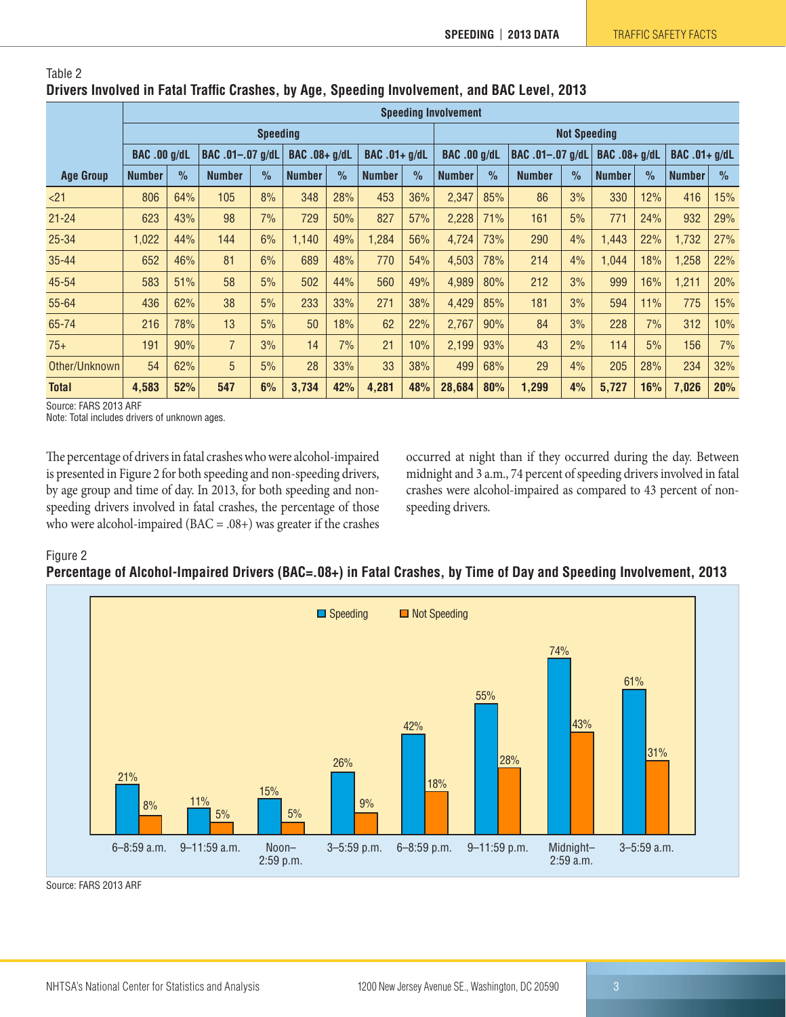|                  | <b>Speeding Involvement</b>             |               |                |                      |               |                      |               |                     |               |                  |               |               |               |               |               |      |
|------------------|-----------------------------------------|---------------|----------------|----------------------|---------------|----------------------|---------------|---------------------|---------------|------------------|---------------|---------------|---------------|---------------|---------------|------|
|                  | <b>Speeding</b>                         |               |                |                      |               |                      |               | <b>Not Speeding</b> |               |                  |               |               |               |               |               |      |
|                  | <b>BAC .00 g/dL</b><br>BAC .01-.07 g/dL |               |                | <b>BAC .08+ g/dL</b> |               | <b>BAC</b> .01+ g/dL |               | <b>BAC .00 g/dL</b> |               | BAC .01-.07 g/dL |               | BAC .08+ g/dL |               | BAC .01+ g/dL |               |      |
| <b>Age Group</b> | <b>Number</b>                           | $\frac{0}{2}$ | <b>Number</b>  | $\frac{1}{2}$        | <b>Number</b> | $\frac{0}{0}$        | <b>Number</b> | $\frac{1}{2}$       | <b>Number</b> | $\%$             | <b>Number</b> | $\frac{0}{2}$ | <b>Number</b> | $\frac{0}{0}$ | <b>Number</b> | $\%$ |
| < 21             | 806                                     | 64%           | 105            | 8%                   | 348           | 28%                  | 453           | 36%                 | 2,347         | 85%              | 86            | 3%            | 330           | 12%           | 416           | 15%  |
| $21 - 24$        | 623                                     | 43%           | 98             | 7%                   | 729           | 50%                  | 827           | 57%                 | 2,228         | 71%              | 161           | 5%            | 771           | 24%           | 932           | 29%  |
| $25 - 34$        | 1,022                                   | 44%           | 144            | 6%                   | 1,140         | 49%                  | 1,284         | 56%                 | 4,724         | 73%              | 290           | 4%            | 1,443         | 22%           | 1,732         | 27%  |
| $35 - 44$        | 652                                     | 46%           | 81             | 6%                   | 689           | 48%                  | 770           | 54%                 | 4,503         | 78%              | 214           | 4%            | 1.044         | 18%           | 1,258         | 22%  |
| 45-54            | 583                                     | 51%           | 58             | 5%                   | 502           | 44%                  | 560           | 49%                 | 4,989         | 80%              | 212           | 3%            | 999           | 16%           | 1,211         | 20%  |
| 55-64            | 436                                     | 62%           | 38             | 5%                   | 233           | 33%                  | 271           | 38%                 | 4,429         | 85%              | 181           | 3%            | 594           | 11%           | 775           | 15%  |
| 65-74            | 216                                     | 78%           | 13             | 5%                   | 50            | 18%                  | 62            | 22%                 | 2,767         | 90%              | 84            | 3%            | 228           | 7%            | 312           | 10%  |
| $75+$            | 191                                     | 90%           | $\overline{7}$ | 3%                   | 14            | 7%                   | 21            | 10%                 | 2,199         | 93%              | 43            | 2%            | 114           | 5%            | 156           | 7%   |
| Other/Unknown    | 54                                      | 62%           | 5              | 5%                   | 28            | 33%                  | 33            | 38%                 | 499           | 68%              | 29            | 4%            | 205           | 28%           | 234           | 32%  |
| <b>Total</b>     | 4,583                                   | 52%           | 547            | 6%                   | 3,734         | 42%                  | 4,281         | 48%                 | 28,684        | 80%              | 1,299         | 4%            | 5,727         | 16%           | 7,026         | 20%  |

#### Table 2 **Drivers Involved in Fatal Traffic Crashes, by Age, Speeding Involvement, and BAC Level, 2013**

Source: FARS 2013 ARF

Note: Total includes drivers of unknown ages.

The percentage of drivers in fatal crashes who were alcohol-impaired is presented in Figure 2 for both speeding and non-speeding drivers, by age group and time of day. In 2013, for both speeding and nonspeeding drivers involved in fatal crashes, the percentage of those who were alcohol-impaired ( $BAC = .08+$ ) was greater if the crashes occurred at night than if they occurred during the day. Between midnight and 3 a.m., 74 percent of speeding drivers involved in fatal crashes were alcohol-impaired as compared to 43 percent of nonspeeding drivers.

#### Figure 2

#### **Percentage of Alcohol-Impaired Drivers (BAC=.08+) in Fatal Crashes, by Time of Day and Speeding Involvement, 2013**



Source: FARS 2013 ARF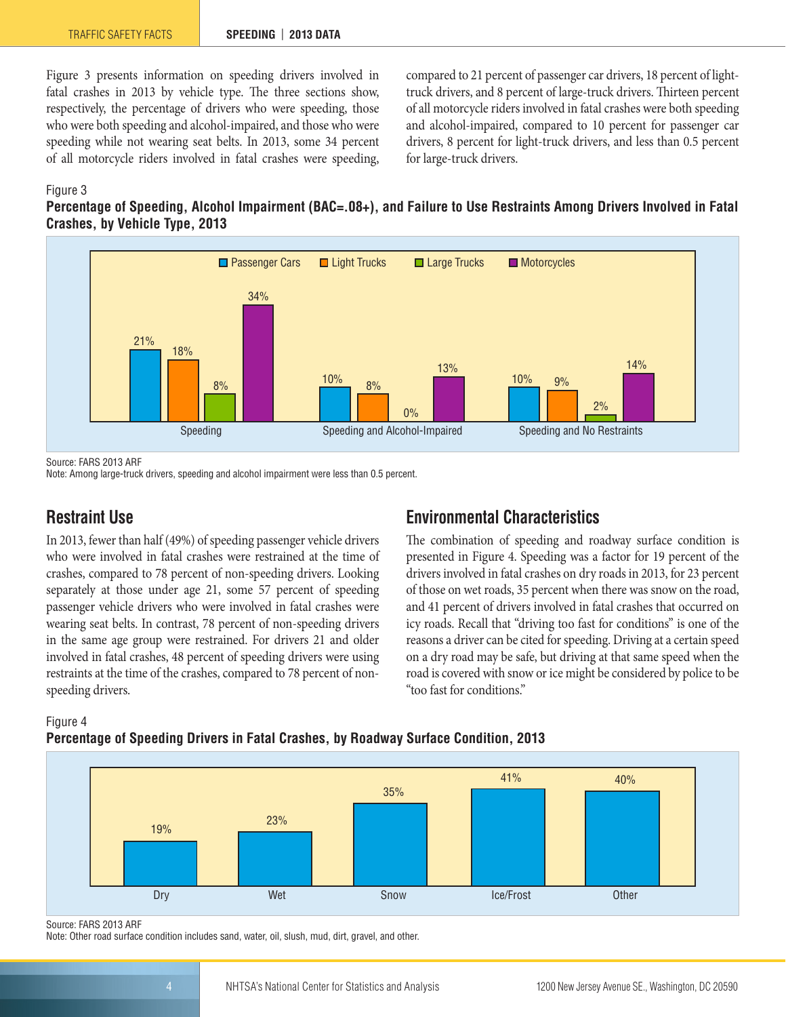Figure 3 presents information on speeding drivers involved in fatal crashes in 2013 by vehicle type. The three sections show, respectively, the percentage of drivers who were speeding, those who were both speeding and alcohol-impaired, and those who were speeding while not wearing seat belts. In 2013, some 34 percent of all motorcycle riders involved in fatal crashes were speeding,

compared to 21 percent of passenger car drivers, 18 percent of lighttruck drivers, and 8 percent of large-truck drivers. Thirteen percent of all motorcycle riders involved in fatal crashes were both speeding and alcohol-impaired, compared to 10 percent for passenger car drivers, 8 percent for light-truck drivers, and less than 0.5 percent for large-truck drivers.

#### Figure 3





Source: FARS 2013 ARF

Note: Among large-truck drivers, speeding and alcohol impairment were less than 0.5 percent.

# <span id="page-3-0"></span>**Restraint Use**

In 2013, fewer than half (49%) of speeding passenger vehicle drivers who were involved in fatal crashes were restrained at the time of crashes, compared to 78 percent of non-speeding drivers. Looking separately at those under age 21, some 57 percent of speeding passenger vehicle drivers who were involved in fatal crashes were wearing seat belts. In contrast, 78 percent of non-speeding drivers in the same age group were restrained. For drivers 21 and older involved in fatal crashes, 48 percent of speeding drivers were using restraints at the time of the crashes, compared to 78 percent of nonspeeding drivers.

# <span id="page-3-1"></span>**Environmental Characteristics**

The combination of speeding and roadway surface condition is presented in Figure 4. Speeding was a factor for 19 percent of the drivers involved in fatal crashes on dry roads in 2013, for 23 percent of those on wet roads, 35 percent when there was snow on the road, and 41 percent of drivers involved in fatal crashes that occurred on icy roads. Recall that "driving too fast for conditions" is one of the reasons a driver can be cited for speeding. Driving at a certain speed on a dry road may be safe, but driving at that same speed when the road is covered with snow or ice might be considered by police to be "too fast for conditions."



**Percentage of Speeding Drivers in Fatal Crashes, by Roadway Surface Condition, 2013**



Source: FARS 2013 ARF

Note: Other road surface condition includes sand, water, oil, slush, mud, dirt, gravel, and other.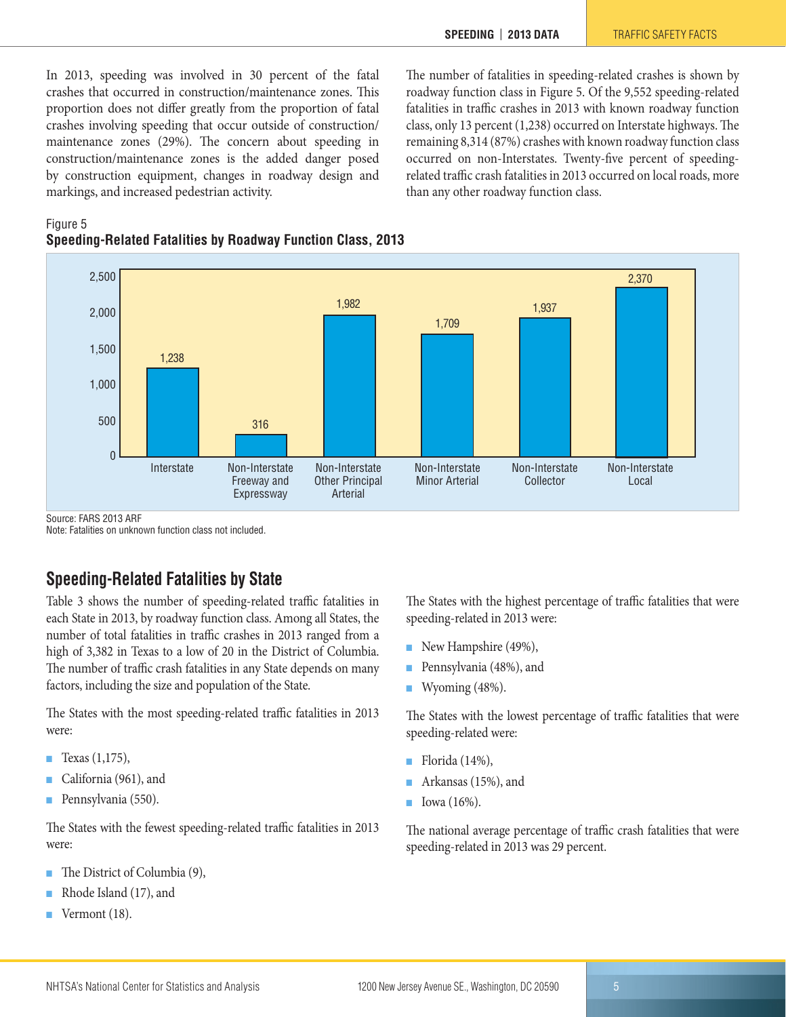than any other roadway function class.

The number of fatalities in speeding-related crashes is shown by roadway function class in Figure 5. Of the 9,552 speeding-related fatalities in traffic crashes in 2013 with known roadway function class, only 13 percent (1,238) occurred on Interstate highways. The remaining 8,314 (87%) crashes with known roadway function class occurred on non-Interstates. Twenty-five percent of speedingrelated traffic crash fatalities in 2013 occurred on local roads, more

In 2013, speeding was involved in 30 percent of the fatal crashes that occurred in construction/maintenance zones. This proportion does not differ greatly from the proportion of fatal crashes involving speeding that occur outside of construction/ maintenance zones (29%). The concern about speeding in construction/maintenance zones is the added danger posed by construction equipment, changes in roadway design and markings, and increased pedestrian activity.

Figure 5 **Speeding-Related Fatalities by Roadway Function Class, 2013**



Source: FARS 2013 ARF

Note: Fatalities on unknown function class not included.

# <span id="page-4-0"></span>**Speeding-Related Fatalities by State**

Table 3 shows the number of speeding-related traffic fatalities in each State in 2013, by roadway function class. Among all States, the number of total fatalities in traffic crashes in 2013 ranged from a high of 3,382 in Texas to a low of 20 in the District of Columbia. The number of traffic crash fatalities in any State depends on many factors, including the size and population of the State.

The States with the most speeding-related traffic fatalities in 2013 were:

- Texas  $(1,175)$ ,
- California (961), and
- Pennsylvania (550).

The States with the fewest speeding-related traffic fatalities in 2013 were:

- The District of Columbia (9),
- Rhode Island (17), and
- Vermont (18).

The States with the highest percentage of traffic fatalities that were speeding-related in 2013 were:

- New Hampshire (49%),
- Pennsylvania (48%), and
- Wyoming (48%).

The States with the lowest percentage of traffic fatalities that were speeding-related were:

- Florida  $(14%)$ ,
- Arkansas (15%), and
- Iowa (16%).

The national average percentage of traffic crash fatalities that were speeding-related in 2013 was 29 percent.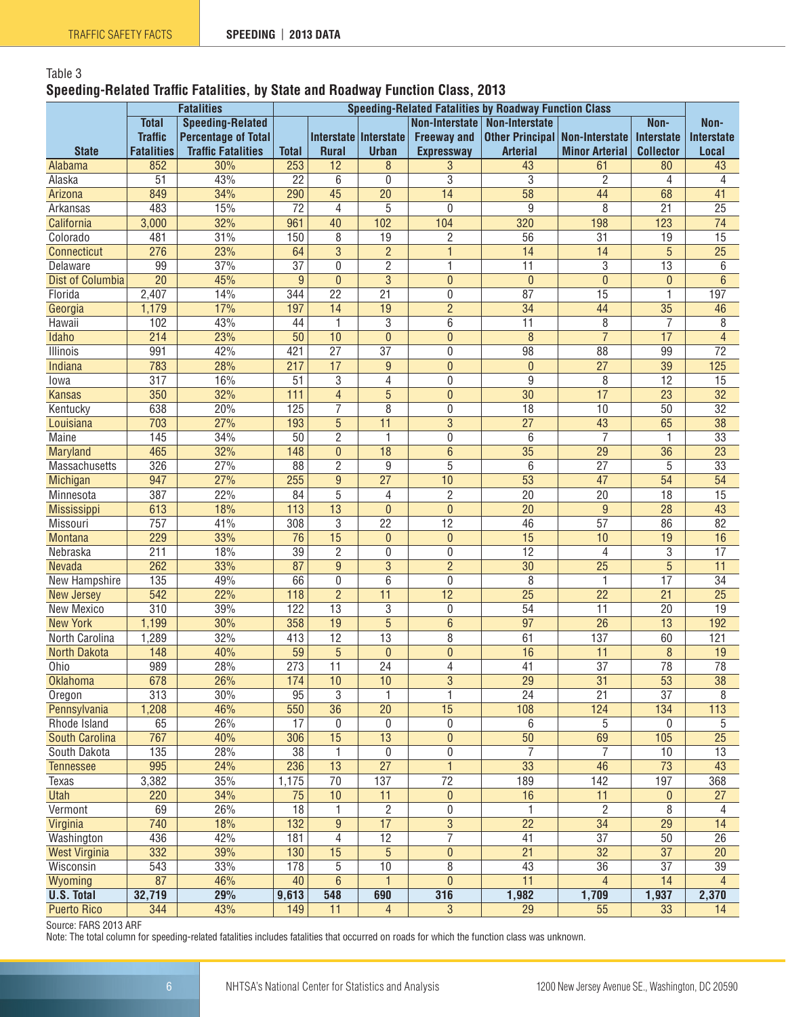# Table 3 **Speeding-Related Traffic Fatalities, by State and Roadway Function Class, 2013**

|                      |                                         | <b>Fatalities</b>          | <b>Speeding-Related Fatalities by Roadway Function Class</b> |                 |                       |                       |                                         |                       |                   |                   |  |  |
|----------------------|-----------------------------------------|----------------------------|--------------------------------------------------------------|-----------------|-----------------------|-----------------------|-----------------------------------------|-----------------------|-------------------|-------------------|--|--|
|                      | <b>Total</b><br><b>Speeding-Related</b> |                            |                                                              |                 |                       | <b>Non-Interstate</b> | <b>Non-Interstate</b>                   |                       | Non-              | Non-              |  |  |
|                      | <b>Traffic</b>                          | <b>Percentage of Total</b> |                                                              |                 | Interstate Interstate | <b>Freeway and</b>    | <b>Other Principal   Non-Interstate</b> |                       | <b>Interstate</b> | <b>Interstate</b> |  |  |
| <b>State</b>         | <b>Fatalities</b>                       | <b>Traffic Fatalities</b>  | <b>Total</b>                                                 | <b>Rural</b>    | <b>Urban</b>          | <b>Expressway</b>     | <b>Arterial</b>                         | <b>Minor Arterial</b> | <b>Collector</b>  | Local             |  |  |
| Alabama              | 852                                     | 30%                        | 253                                                          | 12              | 8                     | 3                     | 43                                      | 61                    | 80                | 43                |  |  |
| Alaska               | 51                                      | 43%                        | 22                                                           | 6               | 0                     | $\overline{3}$        | 3                                       | $\overline{c}$        | 4                 | 4                 |  |  |
| Arizona              | 849                                     | 34%                        | 290                                                          | 45              | $\overline{20}$       | 14                    | $\overline{58}$                         | 44                    | 68                | 41                |  |  |
| Arkansas             | 483                                     | 15%                        | 72                                                           | 4               | 5                     | $\mathbf{0}$          | 9                                       | 8                     | $\overline{21}$   | $\overline{25}$   |  |  |
| California           | 3,000                                   | 32%                        | 961                                                          | 40              | 102                   | 104                   | 320                                     | 198                   | 123               | $\overline{74}$   |  |  |
| Colorado             | 481                                     | 31%                        | 150                                                          | 8               | 19                    | $\overline{c}$        | 56                                      | 31                    | 19                | 15                |  |  |
| Connecticut          | 276                                     | 23%                        | 64                                                           | $\overline{3}$  | $\overline{2}$        | $\overline{1}$        | $\overline{14}$                         | $\overline{14}$       | $\overline{5}$    | $\overline{25}$   |  |  |
| Delaware             | 99                                      | 37%                        | $\overline{37}$                                              | $\mathbf{0}$    | 2                     | 1                     | $\overline{11}$                         | 3                     | $\overline{13}$   | 6                 |  |  |
| Dist of Columbia     | 20                                      | 45%                        | 9                                                            | $\overline{0}$  | 3                     | $\overline{0}$        | $\overline{0}$                          | $\pmb{0}$             | 0                 | $6\,$             |  |  |
| Florida              | 2,407                                   | 14%                        | 344                                                          | $\overline{22}$ | $\overline{21}$       | 0                     | 87                                      | $\overline{15}$       | 1                 | 197               |  |  |
| Georgia              | 1,179                                   | 17%                        | 197                                                          | 14              | 19                    | $\overline{2}$        | $\overline{34}$                         | 44                    | $\overline{35}$   | 46                |  |  |
| Hawaii               | 102                                     | 43%                        | 44                                                           | $\mathbf{1}$    | 3                     | 6                     | $\overline{11}$                         | 8                     | 7                 | 8                 |  |  |
| Idaho                | 214                                     | 23%                        | 50                                                           | 10              | $\overline{0}$        | $\overline{0}$        | 8                                       | $\overline{7}$        | $\overline{17}$   | $\overline{4}$    |  |  |
| Illinois             | 991                                     | 42%                        | 421                                                          | $\overline{27}$ | $\overline{37}$       | $\mathbf 0$           | 98                                      | $\overline{88}$       | 99                | $\overline{72}$   |  |  |
| Indiana              | 783                                     | 28%                        | 217                                                          | $\overline{17}$ | 9                     | $\overline{0}$        | $\mathbf{0}$                            | $\overline{27}$       | $\overline{39}$   | 125               |  |  |
| Iowa                 | 317                                     | 16%                        | 51                                                           | 3               | 4                     | 0                     | 9                                       | 8                     | 12                | 15                |  |  |
| <b>Kansas</b>        | 350                                     | 32%                        | 111                                                          | 4               | 5                     | $\overline{0}$        | $\overline{30}$                         | 17                    | $\overline{23}$   | $\overline{32}$   |  |  |
| Kentucky             | 638                                     | 20%                        | 125                                                          | 7               | 8                     | 0                     | $\overline{18}$                         | $\overline{10}$       | 50                | $\overline{32}$   |  |  |
| Louisiana            | 703                                     | 27%                        | 193                                                          | 5               | 11                    | $\overline{3}$        | $\overline{27}$                         | 43                    | 65                | $\overline{38}$   |  |  |
| Maine                | 145                                     | 34%                        | 50                                                           | $\overline{2}$  | 1                     | 0                     | 6                                       | 7                     | 1                 | $\overline{33}$   |  |  |
| Maryland             | 465                                     | 32%                        | 148                                                          | $\mathbf{0}$    | $\overline{18}$       | $\overline{6}$        | $\overline{35}$                         | $\overline{29}$       | $\overline{36}$   | $\overline{23}$   |  |  |
| <b>Massachusetts</b> | 326                                     | 27%                        | 88                                                           | $\overline{2}$  | 9                     | $\overline{5}$        | 6                                       | $\overline{27}$       | 5                 | $\overline{33}$   |  |  |
| Michigan             | 947                                     | 27%                        | 255                                                          | 9               | 27                    | 10                    | 53                                      | 47                    | 54                | 54                |  |  |
| Minnesota            | 387                                     | 22%                        | 84                                                           | 5               | 4                     | $\overline{2}$        | $\overline{20}$                         | $\overline{20}$       | $\overline{18}$   | 15                |  |  |
| Mississippi          | 613                                     | 18%                        | 113                                                          | $\overline{13}$ | $\mathbf{0}$          | $\overline{0}$        | $\overline{20}$                         | 9                     | $\overline{28}$   | 43                |  |  |
| Missouri             | 757                                     | 41%                        | 308                                                          | 3               | $\overline{22}$       | 12                    | 46                                      | 57                    | 86                | 82                |  |  |
| <b>Montana</b>       | 229                                     | 33%                        | $\overline{76}$                                              | $\overline{15}$ | $\mathbf{0}$          | $\overline{0}$        | $\overline{15}$                         | 10                    | 19                | 16                |  |  |
| Nebraska             | $\overline{211}$                        | 18%                        | $\overline{39}$                                              | $\overline{2}$  | 0                     | $\mathbf 0$           | $\overline{12}$                         | 4                     | $\overline{3}$    | $\overline{17}$   |  |  |
| Nevada               | 262                                     | 33%                        | 87                                                           | 9               | 3                     | $\overline{2}$        | $\overline{30}$                         | $\overline{25}$       | $\overline{5}$    | $\overline{11}$   |  |  |
| New Hampshire        | 135                                     | 49%                        | 66                                                           | 0               | 6                     | 0                     | 8                                       | 1                     | 17                | 34                |  |  |
| <b>New Jersey</b>    | 542                                     | 22%                        | 118                                                          | $\overline{2}$  | 11                    | $\overline{12}$       | $\overline{25}$                         | $\overline{22}$       | $\overline{21}$   | $\overline{25}$   |  |  |
| New Mexico           | $\overline{310}$                        | 39%                        | 122                                                          | $\overline{13}$ | 3                     | $\mathbf{0}$          | $\overline{54}$                         | $\overline{11}$       | $\overline{20}$   | $\overline{19}$   |  |  |
| <b>New York</b>      | 1,199                                   | 30%                        | 358                                                          | 19              | $\overline{5}$        | $\overline{6}$        | $\overline{97}$                         | $\overline{26}$       | 13                | 192               |  |  |
| North Carolina       | 1,289                                   | 32%                        | 413                                                          | $\overline{12}$ | $\overline{13}$       | 8                     | 61                                      | 137                   | 60                | 121               |  |  |
| <b>North Dakota</b>  | 148                                     | 40%                        | 59                                                           | $\overline{5}$  | $\mathbf{0}$          | $\mathbf{0}$          | 16                                      | $\overline{11}$       | 8                 | 19                |  |  |
| Ohio                 | 989                                     | 28%                        | 273                                                          | $\overline{11}$ | $\overline{24}$       | $\overline{4}$        | 41                                      | $\overline{37}$       | 78                | 78                |  |  |
| <b>Oklahoma</b>      | 678                                     | 26%                        | 174                                                          | 10              | 10                    | 3                     | 29                                      | 31                    | 53                | 38                |  |  |
| Oregon               | $\overline{313}$                        | 30%                        | 95                                                           | 3               | 1                     | 1                     | $\overline{24}$                         | $\overline{21}$       | $\overline{37}$   | 8                 |  |  |
| Pennsylvania         | 1,208                                   | 46%                        | 550                                                          | $\overline{36}$ | 20                    | 15                    | 108                                     | 124                   | 134               | 113               |  |  |
| Rhode Island         | 65                                      | 26%                        | 17                                                           | $\mathbf 0$     | 0                     | $\mathbf 0$           | 6                                       | 5                     | 0                 | 5                 |  |  |
| South Carolina       | 767                                     | 40%                        | 306                                                          | 15              | $\overline{13}$       | $\mathbf{0}$          | $\overline{50}$                         | 69                    | 105               | $\overline{25}$   |  |  |
| South Dakota         | 135                                     | 28%                        | 38                                                           | 1               | $\mathbf{0}$          | $\boldsymbol{0}$      | $\overline{7}$                          | $\overline{7}$        | 10                | 13                |  |  |
| <b>Tennessee</b>     | 995                                     | 24%                        | 236                                                          | 13              | $\overline{27}$       | $\mathbf{1}$          | 33                                      | $\overline{46}$       | $\overline{73}$   | 43                |  |  |
| Texas                | 3,382                                   | 35%                        | 1,175                                                        | 70              | 137                   | 72                    | 189                                     | 142                   | 197               | 368               |  |  |
| <b>Utah</b>          | 220                                     | 34%                        | 75                                                           | 10              | 11                    | $\mathbf{0}$          | 16                                      | 11                    | 0                 | 27                |  |  |
| Vermont              | 69                                      | 26%                        | $\overline{18}$                                              | 1               | 2                     | 0                     | 1                                       | $\overline{c}$        | 8                 | 4                 |  |  |
| Virginia             | 740                                     | 18%                        | $\overline{132}$                                             | 9               | 17                    | $\overline{3}$        | $\overline{22}$                         | $\overline{34}$       | $\overline{29}$   | 14                |  |  |
| Washington           | 436                                     | 42%                        | 181                                                          | $\overline{4}$  | $\overline{12}$       | $\overline{7}$        | 41                                      | $\overline{37}$       | 50                | 26                |  |  |
| <b>West Virginia</b> | 332                                     | 39%                        | 130                                                          | 15              | $\overline{5}$        | $\pmb{0}$             | $\overline{21}$                         | $\overline{32}$       | $\overline{37}$   | $20\,$            |  |  |
| Wisconsin            | 543                                     | 33%                        | 178                                                          | 5               | 10                    | 8                     | 43                                      | 36                    | 37                | 39                |  |  |
| Wyoming              | 87                                      | 46%                        | 40                                                           | $6\phantom{1}$  | 1                     | $\mathbf{0}$          | 11                                      | $\overline{4}$        | 14                | $\overline{4}$    |  |  |
| <b>U.S. Total</b>    | 32,719                                  | 29%                        | 9,613                                                        | 548             | 690                   | 316                   | 1,982                                   | 1,709                 | 1,937             | 2,370             |  |  |
| <b>Puerto Rico</b>   | 344                                     | 43%                        | 149                                                          | 11              | $\overline{4}$        | $\mathfrak{S}$        | 29                                      | 55                    | 33                | 14                |  |  |

Source: FARS 2013 ARF

Note: The total column for speeding-related fatalities includes fatalities that occurred on roads for which the function class was unknown.